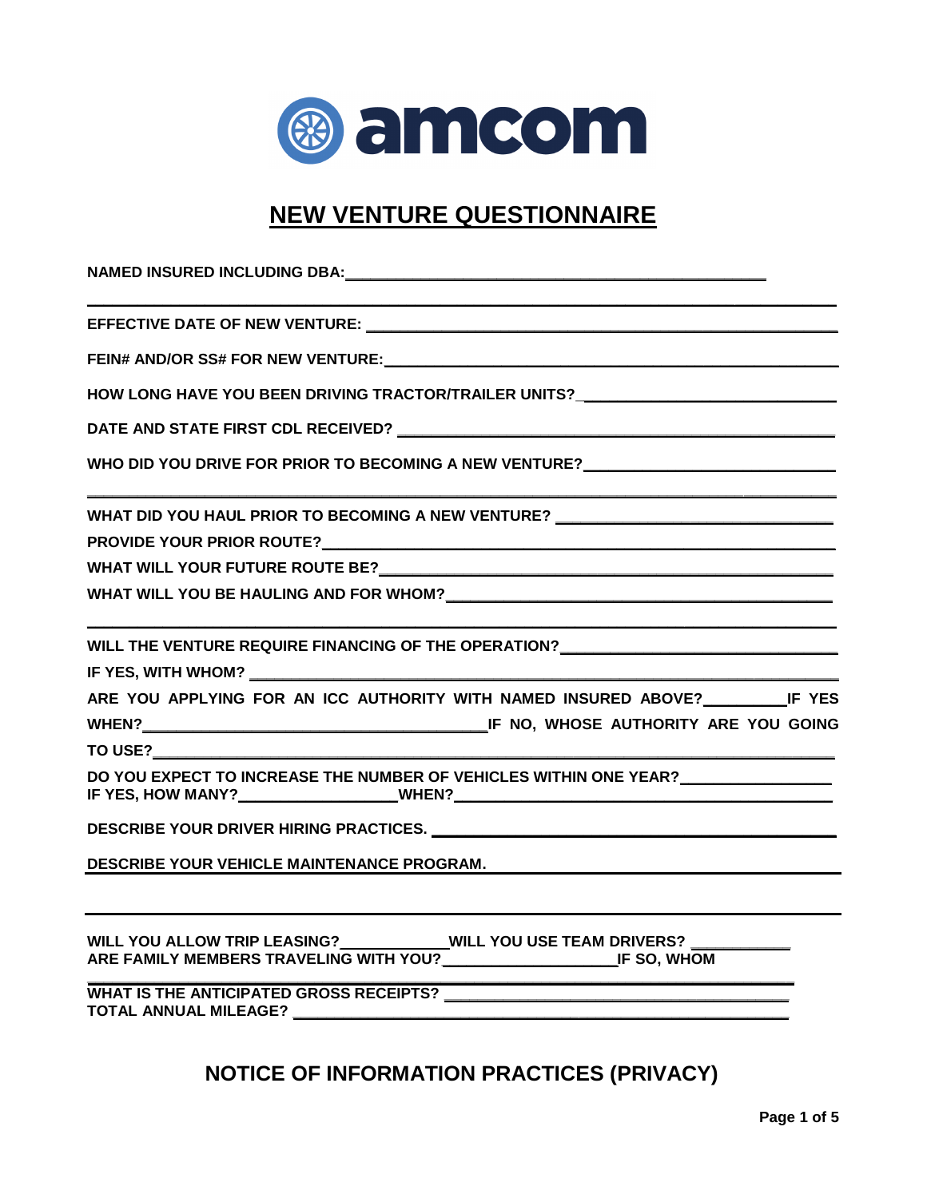

## **NEW VENTURE QUESTIONNAIRE**

| HOW LONG HAVE YOU BEEN DRIVING TRACTOR/TRAILER UNITS?___________________________                                                                            |
|-------------------------------------------------------------------------------------------------------------------------------------------------------------|
|                                                                                                                                                             |
| WHO DID YOU DRIVE FOR PRIOR TO BECOMING A NEW VENTURE?__________________________                                                                            |
| WHAT DID YOU HAUL PRIOR TO BECOMING A NEW VENTURE? _____________________________                                                                            |
|                                                                                                                                                             |
|                                                                                                                                                             |
|                                                                                                                                                             |
| WILL THE VENTURE REQUIRE FINANCING OF THE OPERATION? ___________________________                                                                            |
|                                                                                                                                                             |
| ARE YOU APPLYING FOR AN ICC AUTHORITY WITH NAMED INSURED ABOVE? IF YES                                                                                      |
|                                                                                                                                                             |
| TO USE?                                                                                                                                                     |
| DO YOU EXPECT TO INCREASE THE NUMBER OF VEHICLES WITHIN ONE YEAR? ______________                                                                            |
|                                                                                                                                                             |
| <b>DESCRIBE YOUR VEHICLE MAINTENANCE PROGRAM.</b><br><u> 1980 - Johann Barnett, fransk politiker (d. 1980)</u>                                              |
| WILL YOU ALLOW TRIP LEASING?____________WILL YOU USE TEAM DRIVERS? ____________<br>ARE FAMILY MEMBERS TRAVELING WITH YOU?_______________________IF SO, WHOM |
|                                                                                                                                                             |
|                                                                                                                                                             |

## **NOTICE OF INFORMATION PRACTICES (PRIVACY)**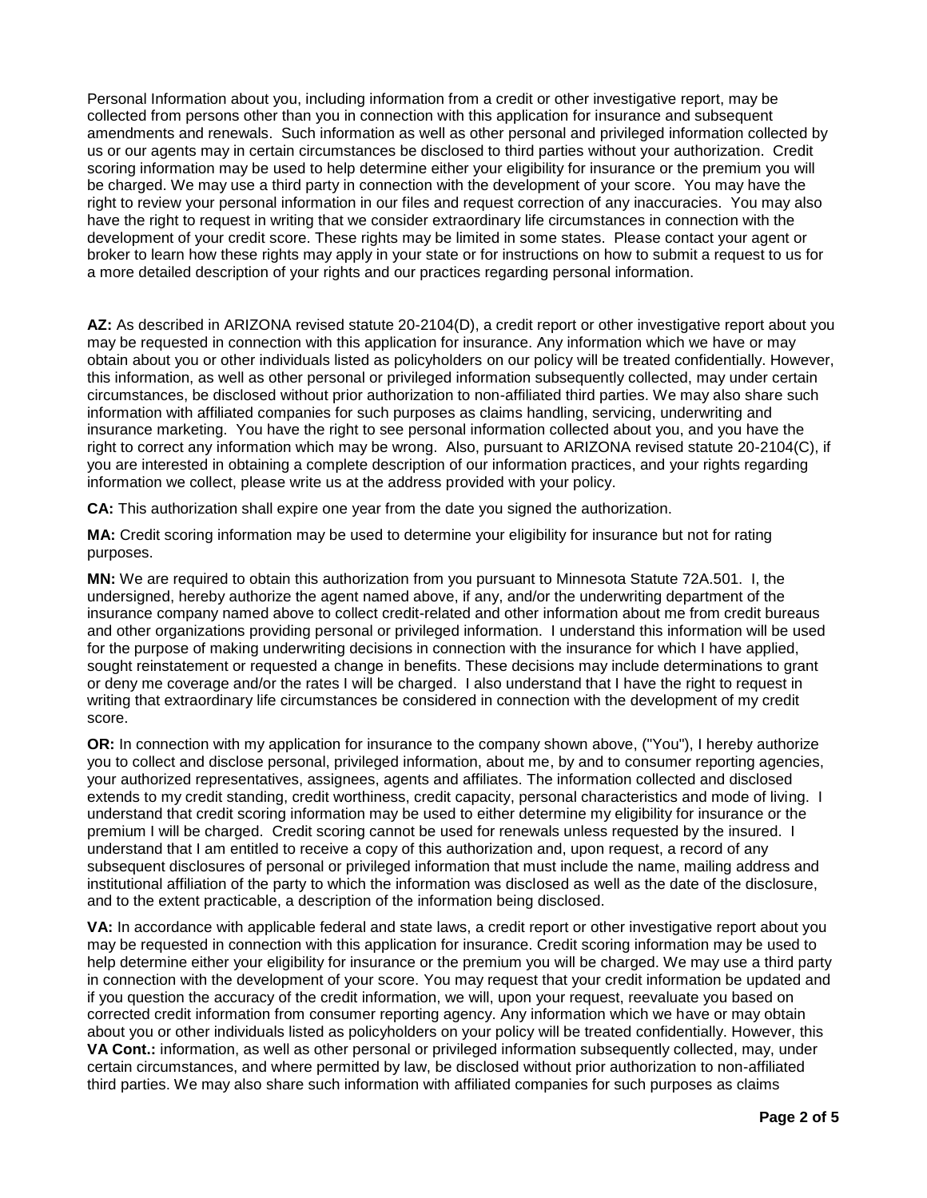Personal Information about you, including information from a credit or other investigative report, may be collected from persons other than you in connection with this application for insurance and subsequent amendments and renewals. Such information as well as other personal and privileged information collected by us or our agents may in certain circumstances be disclosed to third parties without your authorization. Credit scoring information may be used to help determine either your eligibility for insurance or the premium you will be charged. We may use a third party in connection with the development of your score. You may have the right to review your personal information in our files and request correction of any inaccuracies. You may also have the right to request in writing that we consider extraordinary life circumstances in connection with the development of your credit score. These rights may be limited in some states. Please contact your agent or broker to learn how these rights may apply in your state or for instructions on how to submit a request to us for a more detailed description of your rights and our practices regarding personal information.

**AZ:** As described in ARIZONA revised statute 20-2104(D), a credit report or other investigative report about you may be requested in connection with this application for insurance. Any information which we have or may obtain about you or other individuals listed as policyholders on our policy will be treated confidentially. However, this information, as well as other personal or privileged information subsequently collected, may under certain circumstances, be disclosed without prior authorization to non-affiliated third parties. We may also share such information with affiliated companies for such purposes as claims handling, servicing, underwriting and insurance marketing. You have the right to see personal information collected about you, and you have the right to correct any information which may be wrong. Also, pursuant to ARIZONA revised statute 20-2104(C), if you are interested in obtaining a complete description of our information practices, and your rights regarding information we collect, please write us at the address provided with your policy.

**CA:** This authorization shall expire one year from the date you signed the authorization.

**MA:** Credit scoring information may be used to determine your eligibility for insurance but not for rating purposes.

**MN:** We are required to obtain this authorization from you pursuant to Minnesota Statute 72A.501. I, the undersigned, hereby authorize the agent named above, if any, and/or the underwriting department of the insurance company named above to collect credit-related and other information about me from credit bureaus and other organizations providing personal or privileged information. I understand this information will be used for the purpose of making underwriting decisions in connection with the insurance for which I have applied, sought reinstatement or requested a change in benefits. These decisions may include determinations to grant or deny me coverage and/or the rates I will be charged. I also understand that I have the right to request in writing that extraordinary life circumstances be considered in connection with the development of my credit score.

**OR:** In connection with my application for insurance to the company shown above, ("You"), I hereby authorize you to collect and disclose personal, privileged information, about me, by and to consumer reporting agencies, your authorized representatives, assignees, agents and affiliates. The information collected and disclosed extends to my credit standing, credit worthiness, credit capacity, personal characteristics and mode of living. I understand that credit scoring information may be used to either determine my eligibility for insurance or the premium I will be charged. Credit scoring cannot be used for renewals unless requested by the insured. I understand that I am entitled to receive a copy of this authorization and, upon request, a record of any subsequent disclosures of personal or privileged information that must include the name, mailing address and institutional affiliation of the party to which the information was disclosed as well as the date of the disclosure, and to the extent practicable, a description of the information being disclosed.

**VA:** In accordance with applicable federal and state laws, a credit report or other investigative report about you may be requested in connection with this application for insurance. Credit scoring information may be used to help determine either your eligibility for insurance or the premium you will be charged. We may use a third party in connection with the development of your score. You may request that your credit information be updated and if you question the accuracy of the credit information, we will, upon your request, reevaluate you based on corrected credit information from consumer reporting agency. Any information which we have or may obtain about you or other individuals listed as policyholders on your policy will be treated confidentially. However, this **VA Cont.:** information, as well as other personal or privileged information subsequently collected, may, under certain circumstances, and where permitted by law, be disclosed without prior authorization to non-affiliated third parties. We may also share such information with affiliated companies for such purposes as claims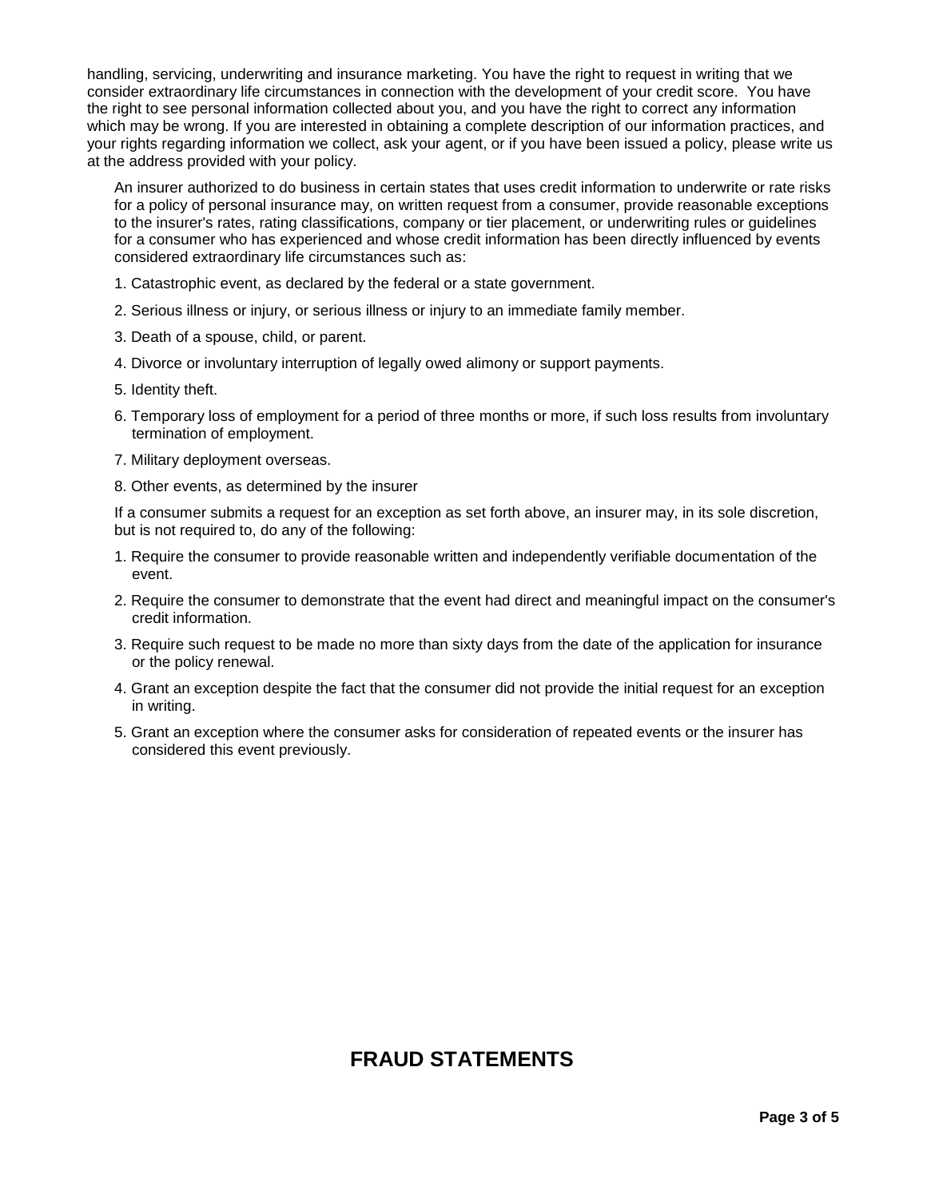handling, servicing, underwriting and insurance marketing. You have the right to request in writing that we consider extraordinary life circumstances in connection with the development of your credit score. You have the right to see personal information collected about you, and you have the right to correct any information which may be wrong. If you are interested in obtaining a complete description of our information practices, and your rights regarding information we collect, ask your agent, or if you have been issued a policy, please write us at the address provided with your policy.

An insurer authorized to do business in certain states that uses credit information to underwrite or rate risks for a policy of personal insurance may, on written request from a consumer, provide reasonable exceptions to the insurer's rates, rating classifications, company or tier placement, or underwriting rules or guidelines for a consumer who has experienced and whose credit information has been directly influenced by events considered extraordinary life circumstances such as:

- 1. Catastrophic event, as declared by the federal or a state government.
- 2. Serious illness or injury, or serious illness or injury to an immediate family member.
- 3. Death of a spouse, child, or parent.
- 4. Divorce or involuntary interruption of legally owed alimony or support payments.
- 5. Identity theft.
- 6. Temporary loss of employment for a period of three months or more, if such loss results from involuntary termination of employment.
- 7. Military deployment overseas.
- 8. Other events, as determined by the insurer

If a consumer submits a request for an exception as set forth above, an insurer may, in its sole discretion, but is not required to, do any of the following:

- 1. Require the consumer to provide reasonable written and independently verifiable documentation of the event.
- 2. Require the consumer to demonstrate that the event had direct and meaningful impact on the consumer's credit information.
- 3. Require such request to be made no more than sixty days from the date of the application for insurance or the policy renewal.
- 4. Grant an exception despite the fact that the consumer did not provide the initial request for an exception in writing.
- 5. Grant an exception where the consumer asks for consideration of repeated events or the insurer has considered this event previously.

## **FRAUD STATEMENTS**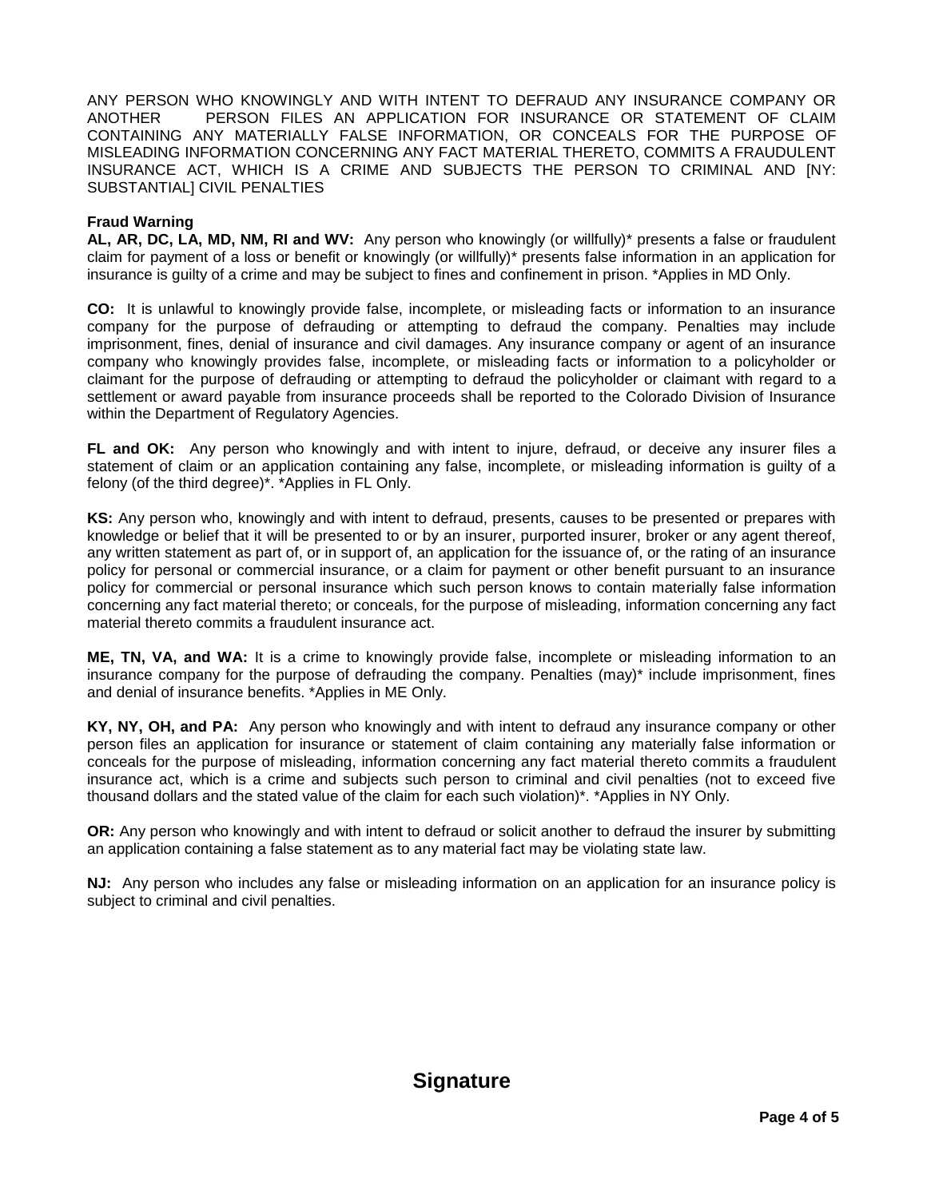ANY PERSON WHO KNOWINGLY AND WITH INTENT TO DEFRAUD ANY INSURANCE COMPANY OR ANOTHER PERSON FILES AN APPLICATION FOR INSURANCE OR STATEMENT OF CLAIM CONTAINING ANY MATERIALLY FALSE INFORMATION, OR CONCEALS FOR THE PURPOSE OF MISLEADING INFORMATION CONCERNING ANY FACT MATERIAL THERETO, COMMITS A FRAUDULENT INSURANCE ACT, WHICH IS A CRIME AND SUBJECTS THE PERSON TO CRIMINAL AND [NY: SUBSTANTIAL] CIVIL PENALTIES

#### **Fraud Warning**

**AL, AR, DC, LA, MD, NM, RI and WV:** Any person who knowingly (or willfully)\* presents a false or fraudulent claim for payment of a loss or benefit or knowingly (or willfully)\* presents false information in an application for insurance is guilty of a crime and may be subject to fines and confinement in prison. \*Applies in MD Only.

**CO:** It is unlawful to knowingly provide false, incomplete, or misleading facts or information to an insurance company for the purpose of defrauding or attempting to defraud the company. Penalties may include imprisonment, fines, denial of insurance and civil damages. Any insurance company or agent of an insurance company who knowingly provides false, incomplete, or misleading facts or information to a policyholder or claimant for the purpose of defrauding or attempting to defraud the policyholder or claimant with regard to a settlement or award payable from insurance proceeds shall be reported to the Colorado Division of Insurance within the Department of Regulatory Agencies.

**FL and OK:** Any person who knowingly and with intent to injure, defraud, or deceive any insurer files a statement of claim or an application containing any false, incomplete, or misleading information is guilty of a felony (of the third degree)\*. \*Applies in FL Only.

**KS:** Any person who, knowingly and with intent to defraud, presents, causes to be presented or prepares with knowledge or belief that it will be presented to or by an insurer, purported insurer, broker or any agent thereof, any written statement as part of, or in support of, an application for the issuance of, or the rating of an insurance policy for personal or commercial insurance, or a claim for payment or other benefit pursuant to an insurance policy for commercial or personal insurance which such person knows to contain materially false information concerning any fact material thereto; or conceals, for the purpose of misleading, information concerning any fact material thereto commits a fraudulent insurance act.

**ME, TN, VA, and WA:** It is a crime to knowingly provide false, incomplete or misleading information to an insurance company for the purpose of defrauding the company. Penalties (may)\* include imprisonment, fines and denial of insurance benefits. \*Applies in ME Only.

**KY, NY, OH, and PA:** Any person who knowingly and with intent to defraud any insurance company or other person files an application for insurance or statement of claim containing any materially false information or conceals for the purpose of misleading, information concerning any fact material thereto commits a fraudulent insurance act, which is a crime and subjects such person to criminal and civil penalties (not to exceed five thousand dollars and the stated value of the claim for each such violation)\*. \*Applies in NY Only.

**OR:** Any person who knowingly and with intent to defraud or solicit another to defraud the insurer by submitting an application containing a false statement as to any material fact may be violating state law.

**NJ:** Any person who includes any false or misleading information on an application for an insurance policy is subject to criminal and civil penalties.

### **Signature**